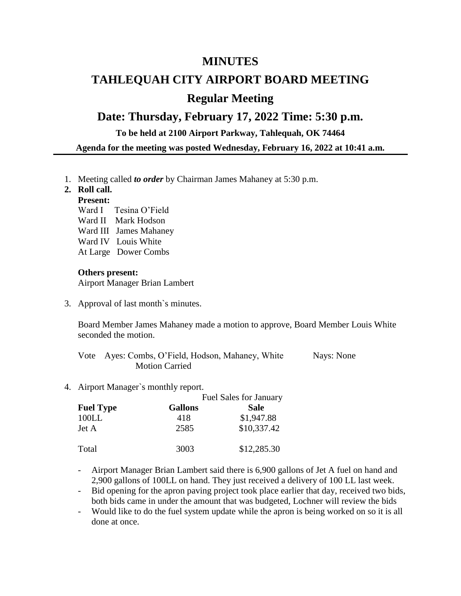### **MINUTES**

# **TAHLEQUAH CITY AIRPORT BOARD MEETING Regular Meeting**

## **Date: Thursday, February 17, 2022 Time: 5:30 p.m.**

**To be held at 2100 Airport Parkway, Tahlequah, OK 74464**

**Agenda for the meeting was posted Wednesday, February 16, 2022 at 10:41 a.m.**

1. Meeting called *to order* by Chairman James Mahaney at 5:30 p.m.

#### **2. Roll call.**

#### **Present:**

- Ward I Tesina O'Field
- Ward II Mark Hodson
- Ward III James Mahaney
- Ward IV Louis White
- At Large Dower Combs

#### **Others present:**

Airport Manager Brian Lambert

3. Approval of last month`s minutes.

Board Member James Mahaney made a motion to approve, Board Member Louis White seconded the motion.

|                       | Vote Ayes: Combs, O'Field, Hodson, Mahaney, White | Nays: None |
|-----------------------|---------------------------------------------------|------------|
| <b>Motion Carried</b> |                                                   |            |

4. Airport Manager`s monthly report.

|                  | <b>Fuel Sales for January</b> |             |
|------------------|-------------------------------|-------------|
| <b>Fuel Type</b> | <b>Gallons</b>                | <b>Sale</b> |
| 100LL            | 418                           | \$1,947.88  |
| Jet A            | 2585                          | \$10,337.42 |
| Total            | 3003                          | \$12,285.30 |

- Airport Manager Brian Lambert said there is 6,900 gallons of Jet A fuel on hand and 2,900 gallons of 100LL on hand. They just received a delivery of 100 LL last week.

- Bid opening for the apron paving project took place earlier that day, received two bids, both bids came in under the amount that was budgeted, Lochner will review the bids
- Would like to do the fuel system update while the apron is being worked on so it is all done at once.